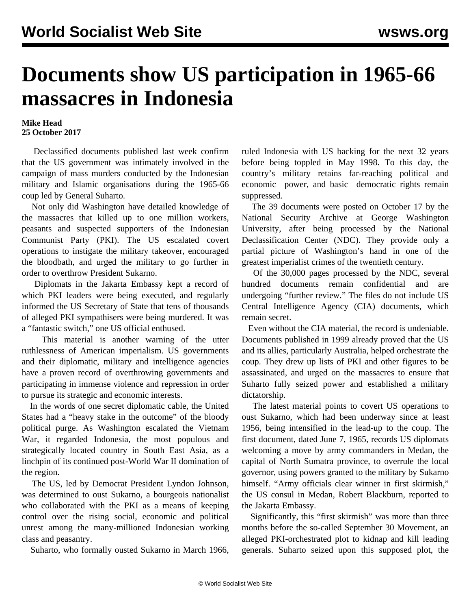## **Documents show US participation in 1965-66 massacres in Indonesia**

## **Mike Head 25 October 2017**

 Declassified documents published last week confirm that the US government was intimately involved in the campaign of mass murders conducted by the Indonesian military and Islamic organisations during the 1965-66 coup led by General Suharto.

 Not only did Washington have detailed knowledge of the massacres that killed up to one million workers, peasants and suspected supporters of the Indonesian Communist Party (PKI). The US escalated covert operations to instigate the military takeover, encouraged the bloodbath, and urged the military to go further in order to overthrow President Sukarno.

 Diplomats in the Jakarta Embassy kept a record of which PKI leaders were being executed, and regularly informed the US Secretary of State that tens of thousands of alleged PKI sympathisers were being murdered. It was a "fantastic switch," one US official enthused.

 This material is another warning of the utter ruthlessness of American imperialism. US governments and their diplomatic, military and intelligence agencies have a proven record of overthrowing governments and participating in immense violence and repression in order to pursue its strategic and economic interests.

 In the words of one secret diplomatic cable, the United States had a "heavy stake in the outcome" of the bloody political purge. As Washington escalated the Vietnam War, it regarded Indonesia, the most populous and strategically located country in South East Asia, as a linchpin of its continued post-World War II domination of the region.

 The US, led by Democrat President Lyndon Johnson, was determined to oust Sukarno, a bourgeois nationalist who collaborated with the PKI as a means of keeping control over the rising social, economic and political unrest among the many-millioned Indonesian working class and peasantry.

Suharto, who formally ousted Sukarno in March 1966,

ruled Indonesia with US backing for the next 32 years before being toppled in May 1998. To this day, the country's military retains far-reaching political and economic power, and basic democratic rights remain suppressed.

 The 39 documents were posted on October 17 by the National Security Archive at George Washington University, after being processed by the National Declassification Center (NDC). They provide only a partial picture of Washington's hand in one of the greatest imperialist crimes of the twentieth century.

 Of the 30,000 pages processed by the NDC, several hundred documents remain confidential and are undergoing "further review." The files do not include US Central Intelligence Agency (CIA) documents, which remain secret.

 Even without the CIA material, the record is undeniable. Documents published in 1999 already proved that the US and its allies, particularly Australia, helped orchestrate the coup. They drew up lists of PKI and other figures to be assassinated, and urged on the massacres to ensure that Suharto fully seized power and established a military dictatorship.

 The latest material points to covert US operations to oust Sukarno, which had been underway since at least 1956, being intensified in the lead-up to the coup. The first document, dated June 7, 1965, records US diplomats welcoming a move by army commanders in Medan, the capital of North Sumatra province, to overrule the local governor, using powers granted to the military by Sukarno himself. "Army officials clear winner in first skirmish," the US consul in Medan, Robert Blackburn, reported to the Jakarta Embassy.

 Significantly, this "first skirmish" was more than three months before the so-called September 30 Movement, an alleged PKI-orchestrated plot to kidnap and kill leading generals. Suharto seized upon this supposed plot, the